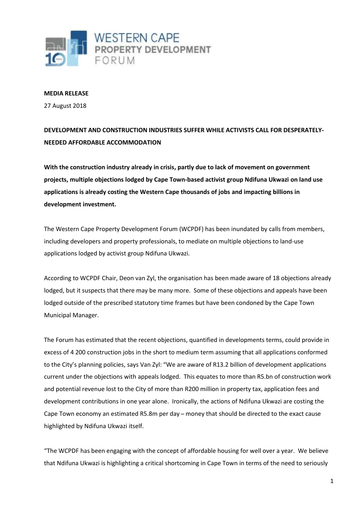

## **MEDIA RELEASE**

27 August 2018

## **DEVELOPMENT AND CONSTRUCTION INDUSTRIES SUFFER WHILE ACTIVISTS CALL FOR DESPERATELY-NEEDED AFFORDABLE ACCOMMODATION**

**With the construction industry already in crisis, partly due to lack of movement on government projects, multiple objections lodged by Cape Town-based activist group Ndifuna Ukwazi on land use applications is already costing the Western Cape thousands of jobs and impacting billions in development investment.**

The Western Cape Property Development Forum (WCPDF) has been inundated by calls from members, including developers and property professionals, to mediate on multiple objections to land-use applications lodged by activist group Ndifuna Ukwazi.

According to WCPDF Chair, Deon van Zyl, the organisation has been made aware of 18 objections already lodged, but it suspects that there may be many more. Some of these objections and appeals have been lodged outside of the prescribed statutory time frames but have been condoned by the Cape Town Municipal Manager.

The Forum has estimated that the recent objections, quantified in developments terms, could provide in excess of 4 200 construction jobs in the short to medium term assuming that all applications conformed to the City's planning policies, says Van Zyl: "We are aware of R13.2 billion of development applications current under the objections with appeals lodged. This equates to more than R5.bn of construction work and potential revenue lost to the City of more than R200 million in property tax, application fees and development contributions in one year alone. Ironically, the actions of Ndifuna Ukwazi are costing the Cape Town economy an estimated R5.8m per day – money that should be directed to the exact cause highlighted by Ndifuna Ukwazi itself.

"The WCPDF has been engaging with the concept of affordable housing for well over a year. We believe that Ndifuna Ukwazi is highlighting a critical shortcoming in Cape Town in terms of the need to seriously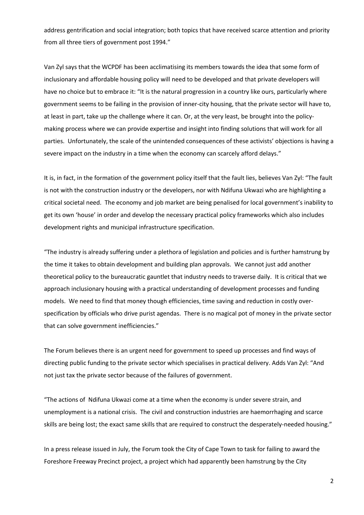address gentrification and social integration; both topics that have received scarce attention and priority from all three tiers of government post 1994."

Van Zyl says that the WCPDF has been acclimatising its members towards the idea that some form of inclusionary and affordable housing policy will need to be developed and that private developers will have no choice but to embrace it: "It is the natural progression in a country like ours, particularly where government seems to be failing in the provision of inner-city housing, that the private sector will have to, at least in part, take up the challenge where it can. Or, at the very least, be brought into the policymaking process where we can provide expertise and insight into finding solutions that will work for all parties. Unfortunately, the scale of the unintended consequences of these activists' objections is having a severe impact on the industry in a time when the economy can scarcely afford delays."

It is, in fact, in the formation of the government policy itself that the fault lies, believes Van Zyl: "The fault is not with the construction industry or the developers, nor with Ndifuna Ukwazi who are highlighting a critical societal need. The economy and job market are being penalised for local government's inability to get its own 'house' in order and develop the necessary practical policy frameworks which also includes development rights and municipal infrastructure specification.

"The industry is already suffering under a plethora of legislation and policies and is further hamstrung by the time it takes to obtain development and building plan approvals. We cannot just add another theoretical policy to the bureaucratic gauntlet that industry needs to traverse daily. It is critical that we approach inclusionary housing with a practical understanding of development processes and funding models. We need to find that money though efficiencies, time saving and reduction in costly overspecification by officials who drive purist agendas. There is no magical pot of money in the private sector that can solve government inefficiencies."

The Forum believes there is an urgent need for government to speed up processes and find ways of directing public funding to the private sector which specialises in practical delivery. Adds Van Zyl: "And not just tax the private sector because of the failures of government.

"The actions of Ndifuna Ukwazi come at a time when the economy is under severe strain, and unemployment is a national crisis. The civil and construction industries are haemorrhaging and scarce skills are being lost; the exact same skills that are required to construct the desperately-needed housing."

In a press release issued in July, the Forum took the City of Cape Town to task for failing to award the Foreshore Freeway Precinct project, a project which had apparently been hamstrung by the City